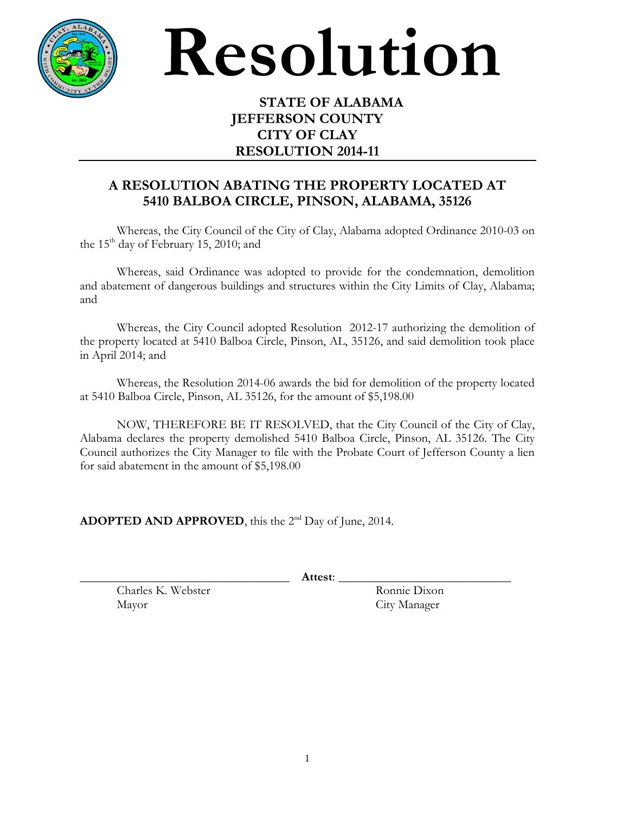

## **Resolution**

## **STATE OF ALABAMA JEFFERSON COUNTY CITY OF CLAY RESOLUTION 2014-11**

## **A RESOLUTION ABATING THE PROPERTY LOCATED AT 5410 BALBOA CIRCLE, PINSON, ALABAMA, 35126**

Whereas, the City Council of the City of Clay, Alabama adopted Ordinance 2010-03 on the 15<sup>th</sup> day of February 15, 2010; and

Whereas, said Ordinance was adopted to provide for the condemnation, demolition and abatement of dangerous buildings and structures within the City Limits of Clay, Alabama; and

Whereas, the City Council adopted Resolution 2012-17 authorizing the demolition of the property located at 5410 Balboa Circle, Pinson, AL, 35126, and said demolition took place in April 2014; and

Whereas, the Resolution 2014-06 awards the bid for demolition of the property located at 5410 Balboa Circle, Pinson, AL 35126, for the amount of \$5,198.00

NOW, THEREFORE BE IT RESOLVED, that the City Council of the City of Clay, Alabama declares the property demolished 5410 Balboa Circle, Pinson, AL 35126. The City Council authorizes the City Manager to file with the Probate Court of Jefferson County a lien for said abatement in the amount of \$5,198.00

ADOPTED AND APPROVED, this the 2<sup>nd</sup> Day of June, 2014.

\_\_\_\_\_\_\_\_\_\_\_\_\_\_\_\_\_\_\_\_\_\_\_\_\_\_\_\_\_\_\_\_\_\_ **Attest**: \_\_\_\_\_\_\_\_\_\_\_\_\_\_\_\_\_\_\_\_\_\_\_\_\_\_\_\_

Charles K. Webster Ronnie Dixon Mayor City Manager